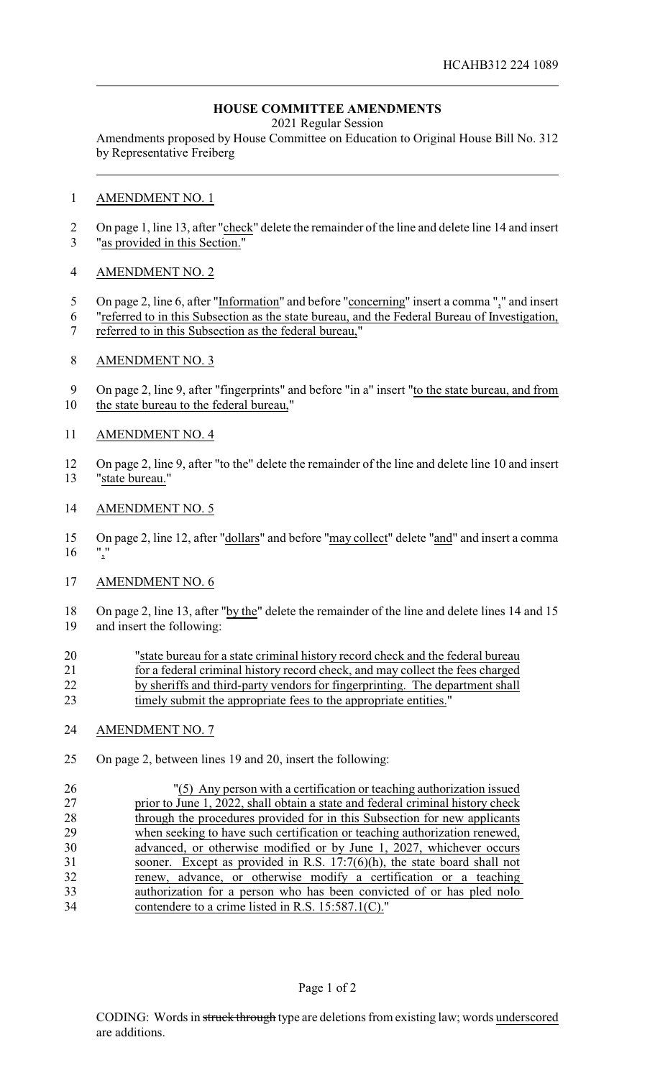# **HOUSE COMMITTEE AMENDMENTS**

2021 Regular Session

Amendments proposed by House Committee on Education to Original House Bill No. 312 by Representative Freiberg

#### AMENDMENT NO. 1

2 On page 1, line 13, after "check" delete the remainder of the line and delete line 14 and insert "as provided in this Section."

## AMENDMENT NO. 2

- 5 On page 2, line 6, after "Information" and before "concerning" insert a comma "," and insert
- "referred to in this Subsection as the state bureau, and the Federal Bureau of Investigation,
- referred to in this Subsection as the federal bureau,"

## AMENDMENT NO. 3

9 On page 2, line 9, after "fingerprints" and before "in a" insert "to the state bureau, and from the state bureau to the federal bureau,"

## AMENDMENT NO. 4

 On page 2, line 9, after "to the" delete the remainder of the line and delete line 10 and insert "state bureau."

#### AMENDMENT NO. 5

 On page 2, line 12, after "dollars" and before "may collect" delete "and" and insert a comma  $16 \frac{10}{2}$ 

# AMENDMENT NO. 6

 On page 2, line 13, after "by the" delete the remainder of the line and delete lines 14 and 15 and insert the following:

| 20 | "state bureau for a state criminal history record check and the federal bureau |
|----|--------------------------------------------------------------------------------|
| 21 | for a federal criminal history record check, and may collect the fees charged  |
| 22 | by sheriffs and third-party vendors for fingerprinting. The department shall   |
| 23 | timely submit the appropriate fees to the appropriate entities."               |

#### AMENDMENT NO. 7

On page 2, between lines 19 and 20, insert the following:

 "(5) Any person with a certification or teaching authorization issued 27 prior to June 1, 2022, shall obtain a state and federal criminal history check<br>28 through the procedures provided for in this Subsection for new applicants through the procedures provided for in this Subsection for new applicants when seeking to have such certification or teaching authorization renewed, advanced, or otherwise modified or by June 1, 2027, whichever occurs sooner. Except as provided in R.S. 17:7(6)(h), the state board shall not renew, advance, or otherwise modify a certification or a teaching authorization for a person who has been convicted of or has pled nolo contendere to a crime listed in R.S. 15:587.1(C)."